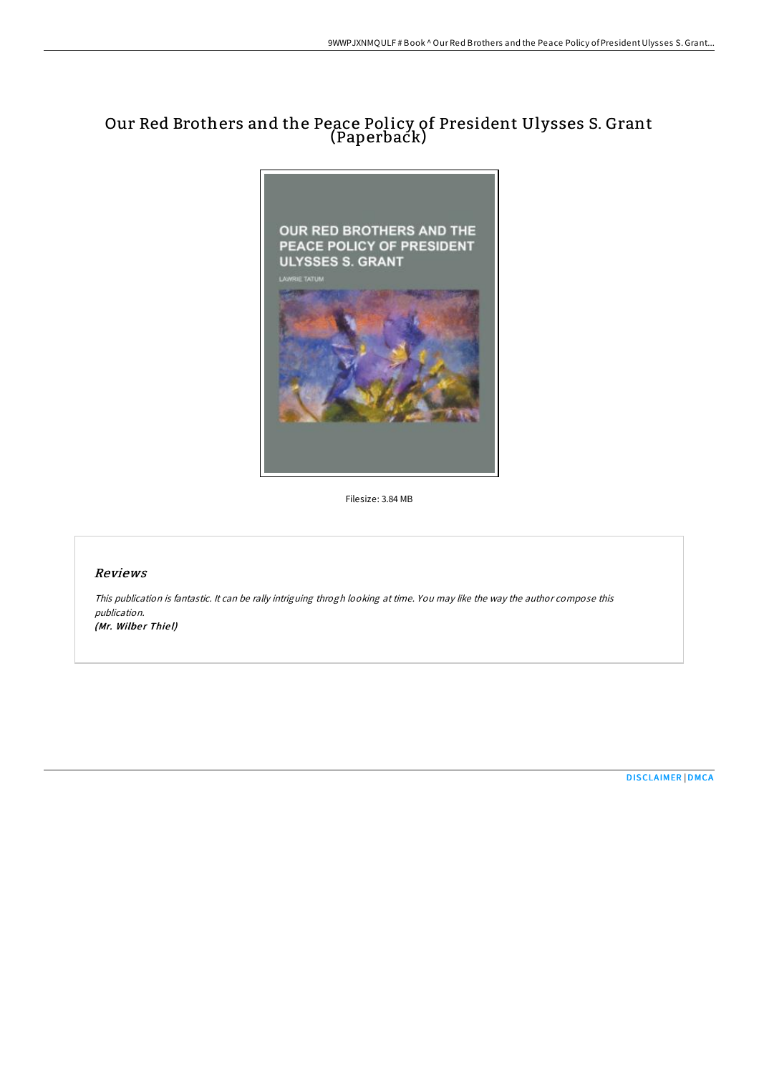# Our Red Brothers and the Peace Policy of President Ulysses S. Grant (Paperback)



Filesize: 3.84 MB

## Reviews

This publication is fantastic. It can be rally intriguing throgh looking at time. You may like the way the author compose this publication. (Mr. Wilber Thiel)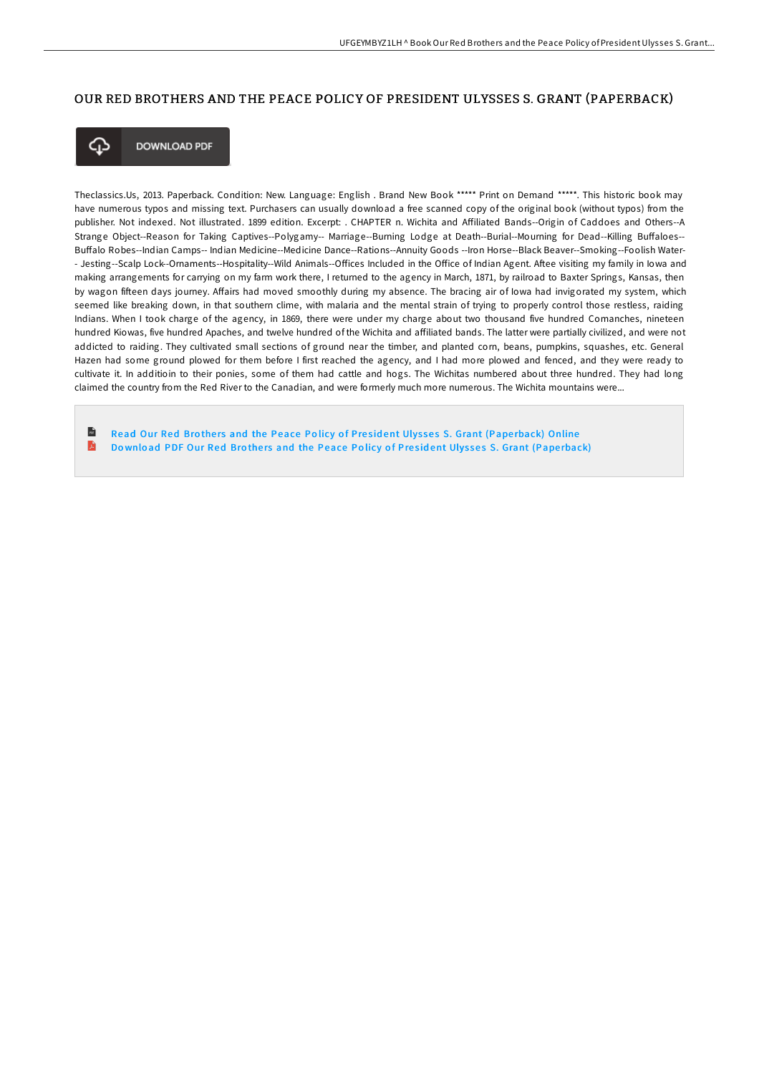#### OUR RED BROTHERS AND THE PEACE POLICY OF PRESIDENT ULYSSES S. GRANT (PAPERBACK)



**DOWNLOAD PDF** 

Theclassics.Us, 2013. Paperback. Condition: New. Language: English . Brand New Book \*\*\*\*\* Print on Demand \*\*\*\*\*. This historic book may have numerous typos and missing text. Purchasers can usually download a free scanned copy of the original book (without typos) from the publisher. Not indexed. Not illustrated. 1899 edition. Excerpt: . CHAPTER n. Wichita and ABiliated Bands--Origin of Caddoes and Others--A Strange Object--Reason for Taking Captives--Polygamy-- Marriage--Burning Lodge at Death--Burial--Mourning for Dead--Killing Buffaloes--Buffalo Robes--Indian Camps-- Indian Medicine--Medicine Dance--Rations--Annuity Goods --Iron Horse--Black Beaver--Smoking--Foolish Water-- Jesting--Scalp Lock--Ornaments--Hospitality--Wild Animals--Offices Included in the Office of Indian Agent. Aftee visiting my family in Iowa and making arrangements for carrying on my farm work there, I returned to the agency in March, 1871, by railroad to Baxter Springs, Kansas, then by wagon fifteen days journey. Affairs had moved smoothly during my absence. The bracing air of lowa had invigorated my system, which seemed like breaking down, in that southern clime, with malaria and the mental strain of trying to properly control those restless, raiding Indians. When I took charge of the agency, in 1869, there were under my charge about two thousand five hundred Comanches, nineteen hundred Kiowas, five hundred Apaches, and twelve hundred of the Wichita and affiliated bands. The latter were partially civilized, and were not addicted to raiding. They cultivated small sections of ground near the timber, and planted corn, beans, pumpkins, squashes, etc. General Hazen had some ground plowed for them before I first reached the agency, and I had more plowed and fenced, and they were ready to cultivate it. In additioin to their ponies, some of them had cattle and hogs. The Wichitas numbered about three hundred. They had long claimed the country from the Red River to the Canadian, and were formerly much more numerous. The Wichita mountains were...

 $\mathbf{r}$ Read Our Red Brothers and the Peace Policy of President Ulysses S. Grant (Paperback) [Online](http://almighty24.tech/our-red-brothers-and-the-peace-policy-of-preside.html) A Download PDF Our Red Brothers and the Peace Policy of President Ulysses S. Grant (Pape[rback\)](http://almighty24.tech/our-red-brothers-and-the-peace-policy-of-preside.html)